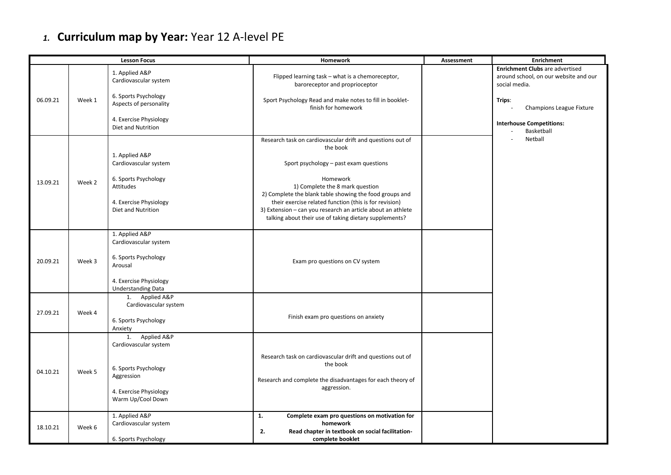## *1.* **Curriculum map by Year:** Year 12 A-level PE

| <b>Lesson Focus</b> |        |                                                                                                                              | <b>Homework</b>                                                                                                                                                                                                            | Assessment | <b>Enrichment</b>                                                                                |
|---------------------|--------|------------------------------------------------------------------------------------------------------------------------------|----------------------------------------------------------------------------------------------------------------------------------------------------------------------------------------------------------------------------|------------|--------------------------------------------------------------------------------------------------|
|                     |        | 1. Applied A&P<br>Cardiovascular system                                                                                      | Flipped learning task - what is a chemoreceptor,<br>baroreceptor and proprioceptor                                                                                                                                         |            | <b>Enrichment Clubs are advertised</b><br>around school, on our website and our<br>social media. |
| 06.09.21            | Week 1 | 6. Sports Psychology<br>Aspects of personality                                                                               | Sport Psychology Read and make notes to fill in booklet-<br>finish for homework                                                                                                                                            |            | Trips:<br>Champions League Fixture                                                               |
|                     |        | 4. Exercise Physiology<br>Diet and Nutrition                                                                                 |                                                                                                                                                                                                                            |            | <b>Interhouse Competitions:</b><br>Basketball                                                    |
| 13.09.21            | Week 2 | 1. Applied A&P<br>Cardiovascular system<br>6. Sports Psychology<br>Attitudes                                                 | Research task on cardiovascular drift and questions out of<br>the book<br>Sport psychology - past exam questions<br>Homework<br>1) Complete the 8 mark question<br>2) Complete the blank table showing the food groups and |            | Netball                                                                                          |
|                     |        | 4. Exercise Physiology<br><b>Diet and Nutrition</b>                                                                          | their exercise related function (this is for revision)<br>3) Extension - can you research an article about an athlete<br>talking about their use of taking dietary supplements?                                            |            |                                                                                                  |
| 20.09.21            | Week 3 | 1. Applied A&P<br>Cardiovascular system<br>6. Sports Psychology<br>Arousal                                                   | Exam pro questions on CV system                                                                                                                                                                                            |            |                                                                                                  |
|                     |        | 4. Exercise Physiology<br><b>Understanding Data</b>                                                                          |                                                                                                                                                                                                                            |            |                                                                                                  |
| 27.09.21            | Week 4 | 1. Applied A&P<br>Cardiovascular system<br>6. Sports Psychology<br>Anxiety                                                   | Finish exam pro questions on anxiety                                                                                                                                                                                       |            |                                                                                                  |
| 04.10.21            | Week 5 | 1. Applied A&P<br>Cardiovascular system<br>6. Sports Psychology<br>Aggression<br>4. Exercise Physiology<br>Warm Up/Cool Down | Research task on cardiovascular drift and questions out of<br>the book<br>Research and complete the disadvantages for each theory of<br>aggression.                                                                        |            |                                                                                                  |
| 18.10.21            | Week 6 | 1. Applied A&P<br>Cardiovascular system<br>6. Sports Psychology                                                              | Complete exam pro questions on motivation for<br>1.<br>homework<br>Read chapter in textbook on social facilitation-<br>2.<br>complete booklet                                                                              |            |                                                                                                  |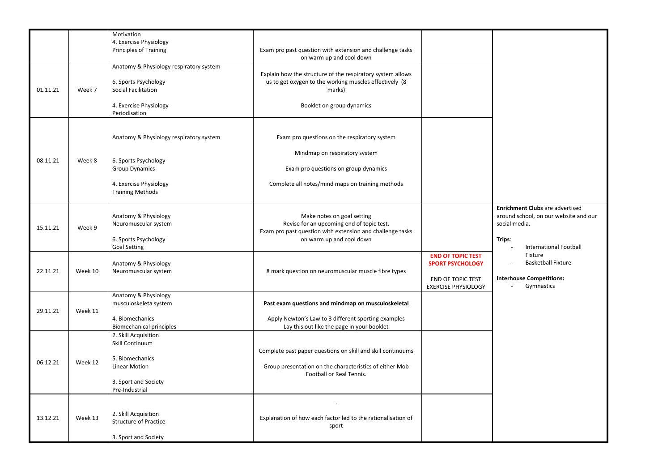|          |         | Motivation<br>4. Exercise Physiology                                                                                                          |                                                                                                                                                                           |                                                                                                               |                                                                                                                                                       |
|----------|---------|-----------------------------------------------------------------------------------------------------------------------------------------------|---------------------------------------------------------------------------------------------------------------------------------------------------------------------------|---------------------------------------------------------------------------------------------------------------|-------------------------------------------------------------------------------------------------------------------------------------------------------|
|          |         | <b>Principles of Training</b>                                                                                                                 | Exam pro past question with extension and challenge tasks<br>on warm up and cool down                                                                                     |                                                                                                               |                                                                                                                                                       |
| 01.11.21 | Week 7  | Anatomy & Physiology respiratory system<br>6. Sports Psychology<br>Social Facilitation<br>4. Exercise Physiology<br>Periodisation             | Explain how the structure of the respiratory system allows<br>us to get oxygen to the working muscles effectively (8<br>marks)<br>Booklet on group dynamics               |                                                                                                               |                                                                                                                                                       |
| 08.11.21 | Week 8  | Anatomy & Physiology respiratory system<br>6. Sports Psychology<br><b>Group Dynamics</b><br>4. Exercise Physiology<br><b>Training Methods</b> | Exam pro questions on the respiratory system<br>Mindmap on respiratory system<br>Exam pro questions on group dynamics<br>Complete all notes/mind maps on training methods |                                                                                                               |                                                                                                                                                       |
| 15.11.21 | Week 9  | Anatomy & Physiology<br>Neuromuscular system<br>6. Sports Psychology<br><b>Goal Setting</b>                                                   | Make notes on goal setting<br>Revise for an upcoming end of topic test.<br>Exam pro past question with extension and challenge tasks<br>on warm up and cool down          |                                                                                                               | <b>Enrichment Clubs</b> are advertised<br>around school, on our website and our<br>social media.<br>Trips:<br><b>International Football</b><br>$\sim$ |
| 22.11.21 | Week 10 | Anatomy & Physiology<br>Neuromuscular system                                                                                                  | 8 mark question on neuromuscular muscle fibre types                                                                                                                       | <b>END OF TOPIC TEST</b><br><b>SPORT PSYCHOLOGY</b><br><b>END OF TOPIC TEST</b><br><b>EXERCISE PHYSIOLOGY</b> | Fixture<br><b>Basketball Fixture</b><br><b>Interhouse Competitions:</b><br>Gymnastics                                                                 |
| 29.11.21 | Week 11 | Anatomy & Physiology<br>musculoskeleta system<br>4. Biomechanics<br><b>Biomechanical principles</b>                                           | Past exam questions and mindmap on musculoskeletal<br>Apply Newton's Law to 3 different sporting examples<br>Lay this out like the page in your booklet                   |                                                                                                               |                                                                                                                                                       |
| 06.12.21 | Week 12 | 2. Skill Acquisition<br>Skill Continuum<br>5. Biomechanics<br>Linear Motion<br>3. Sport and Society<br>Pre-Industrial                         | Complete past paper questions on skill and skill continuums<br>Group presentation on the characteristics of either Mob<br>Football or Real Tennis.                        |                                                                                                               |                                                                                                                                                       |
| 13.12.21 | Week 13 | 2. Skill Acquisition<br><b>Structure of Practice</b><br>3. Sport and Society                                                                  | Explanation of how each factor led to the rationalisation of<br>sport                                                                                                     |                                                                                                               |                                                                                                                                                       |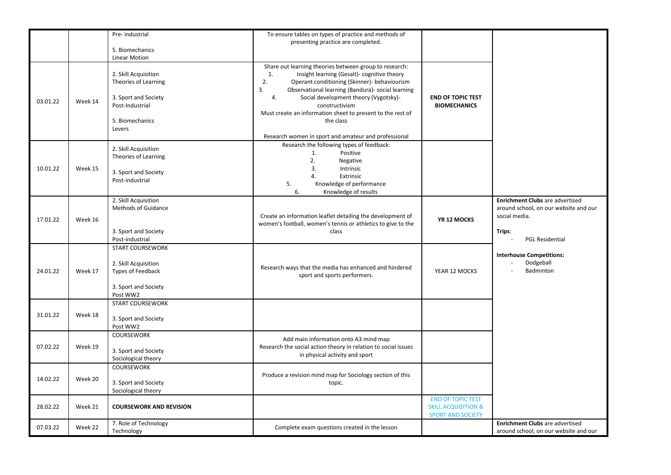| 03.01.22 | Week 14 | Pre- industrial<br>5. Biomechanics<br><b>Linear Motion</b><br>2. Skill Acquisition<br>Theories of Learning<br>3. Sport and Society<br>Post-Industrial<br>5. Biomechanics<br>Levers | To ensure tables on types of practice and methods of<br>presenting practice are completed.<br>Share out learning theories between group to research:<br>Insight learning (Gesalt)- cognitive theory<br>1.<br>2.<br>Operant conditioning (Skinner)- behaviourism<br>3.<br>Observational learning (Bandura)- social learning<br>Social development theory (Vygotsky)-<br>4.<br>constructivism<br>Must create an information sheet to present to the rest of<br>the class | <b>END OF TOPIC TEST</b><br><b>BIOMECHANICS</b>                                        |                                                                                                                                      |
|----------|---------|------------------------------------------------------------------------------------------------------------------------------------------------------------------------------------|------------------------------------------------------------------------------------------------------------------------------------------------------------------------------------------------------------------------------------------------------------------------------------------------------------------------------------------------------------------------------------------------------------------------------------------------------------------------|----------------------------------------------------------------------------------------|--------------------------------------------------------------------------------------------------------------------------------------|
| 10.01.22 | Week 15 | 2. Skill Acquisition<br>Theories of Learning<br>3. Sport and Society<br>Post-industrial                                                                                            | Research women in sport and amateur and professional<br>Research the following types of feedback:<br>1.<br>Positive<br>2.<br>Negative<br>3.<br>Intrinsic<br>Extrinsic<br>4.<br>5.<br>Knowledge of performance<br>6.<br>Knowledge of results                                                                                                                                                                                                                            |                                                                                        |                                                                                                                                      |
| 17.01.22 | Week 16 | 2. Skill Acquisition<br><b>Methods of Guidance</b><br>3. Sport and Society<br>Post-industrial                                                                                      | Create an information leaflet detailing the development of<br>women's football, women's tennis or athletics to give to the<br>class                                                                                                                                                                                                                                                                                                                                    | YR 12 MOCKS                                                                            | <b>Enrichment Clubs</b> are advertised<br>around school, on our website and our<br>social media.<br>Trips:<br><b>PGL Residential</b> |
| 24.01.22 | Week 17 | <b>START COURSEWORK</b><br>2. Skill Acquisition<br>Types of Feedback<br>3. Sport and Society<br>Post WW2                                                                           | Research ways that the media has enhanced and hindered<br>sport and sports performers.                                                                                                                                                                                                                                                                                                                                                                                 | YEAR 12 MOCKS                                                                          | <b>Interhouse Competitions:</b><br>Dodgeball<br>Badminton                                                                            |
| 31.01.22 | Week 18 | <b>START COURSEWORK</b><br>3. Sport and Society<br>Post WW2                                                                                                                        |                                                                                                                                                                                                                                                                                                                                                                                                                                                                        |                                                                                        |                                                                                                                                      |
| 07.02.22 | Week 19 | <b>COURSEWORK</b><br>3. Sport and Society<br>Sociological theory                                                                                                                   | Add main information onto A3 mind map<br>Research the social action theory in relation to social issues<br>in physical activity and sport                                                                                                                                                                                                                                                                                                                              |                                                                                        |                                                                                                                                      |
| 14.02.22 | Week 20 | <b>COURSEWORK</b><br>3. Sport and Society<br>Sociological theory                                                                                                                   | Produce a revision mind map for Sociology section of this<br>topic.                                                                                                                                                                                                                                                                                                                                                                                                    |                                                                                        |                                                                                                                                      |
| 28.02.22 | Week 21 | <b>COURSEWORK AND REVISION</b>                                                                                                                                                     |                                                                                                                                                                                                                                                                                                                                                                                                                                                                        | <b>END OF TOPIC TEST</b><br><b>SKILL ACQUISITION &amp;</b><br><b>SPORT AND SOCIETY</b> |                                                                                                                                      |
| 07.03.22 | Week 22 | 7. Role of Technology<br>Technology                                                                                                                                                | Complete exam questions created in the lesson                                                                                                                                                                                                                                                                                                                                                                                                                          |                                                                                        | Enrichment Clubs are advertised<br>around school, on our website and our                                                             |